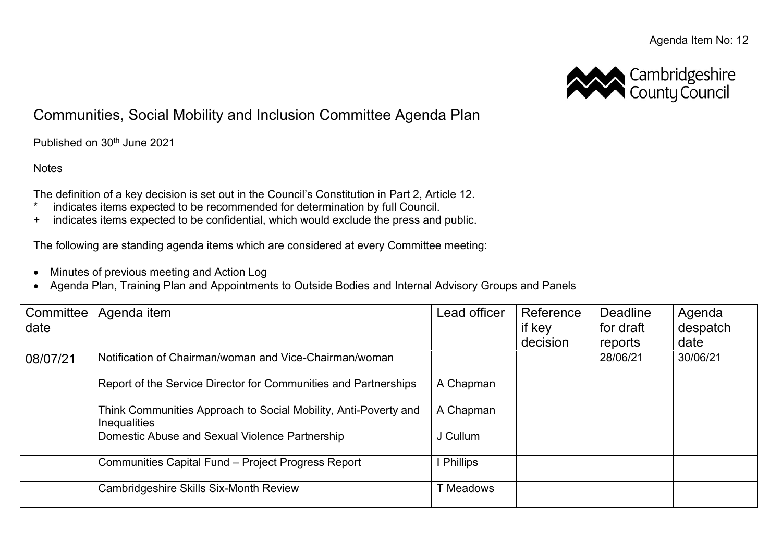

## Communities, Social Mobility and Inclusion Committee Agenda Plan

Published on 30<sup>th</sup> June 2021

**Notes** 

The definition of a key decision is set out in the Council's Constitution in Part 2, Article 12.

- \* indicates items expected to be recommended for determination by full Council.
- + indicates items expected to be confidential, which would exclude the press and public.

The following are standing agenda items which are considered at every Committee meeting:

- Minutes of previous meeting and Action Log
- Agenda Plan, Training Plan and Appointments to Outside Bodies and Internal Advisory Groups and Panels

| Committee  <br>date | Agenda item                                                                            | Lead officer    | Reference<br>if key<br>decision | <b>Deadline</b><br>for draft<br>reports | Agenda<br>despatch<br>date |
|---------------------|----------------------------------------------------------------------------------------|-----------------|---------------------------------|-----------------------------------------|----------------------------|
| 08/07/21            | Notification of Chairman/woman and Vice-Chairman/woman                                 |                 |                                 | 28/06/21                                | 30/06/21                   |
|                     | Report of the Service Director for Communities and Partnerships                        | A Chapman       |                                 |                                         |                            |
|                     | Think Communities Approach to Social Mobility, Anti-Poverty and<br><b>Inequalities</b> | A Chapman       |                                 |                                         |                            |
|                     | Domestic Abuse and Sexual Violence Partnership                                         | J Cullum        |                                 |                                         |                            |
|                     | Communities Capital Fund - Project Progress Report                                     | <b>Phillips</b> |                                 |                                         |                            |
|                     | <b>Cambridgeshire Skills Six-Month Review</b>                                          | Meadows         |                                 |                                         |                            |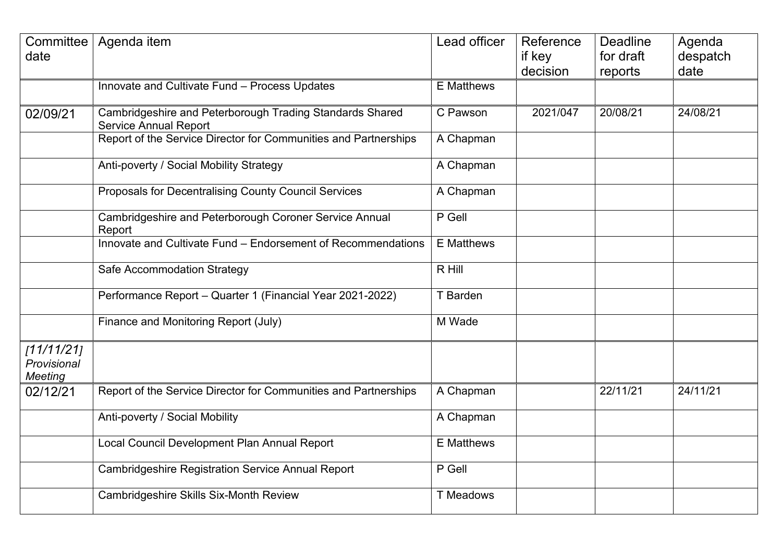| date                                       | Committee   Agenda item                                                                  | Lead officer      | Reference<br>if key<br>decision | <b>Deadline</b><br>for draft<br>reports | Agenda<br>despatch<br>date |
|--------------------------------------------|------------------------------------------------------------------------------------------|-------------------|---------------------------------|-----------------------------------------|----------------------------|
|                                            | Innovate and Cultivate Fund - Process Updates                                            | <b>E</b> Matthews |                                 |                                         |                            |
| 02/09/21                                   | Cambridgeshire and Peterborough Trading Standards Shared<br><b>Service Annual Report</b> | C Pawson          | 2021/047                        | 20/08/21                                | 24/08/21                   |
|                                            | Report of the Service Director for Communities and Partnerships                          | A Chapman         |                                 |                                         |                            |
|                                            | Anti-poverty / Social Mobility Strategy                                                  | A Chapman         |                                 |                                         |                            |
|                                            | Proposals for Decentralising County Council Services                                     | A Chapman         |                                 |                                         |                            |
|                                            | Cambridgeshire and Peterborough Coroner Service Annual<br>Report                         | P Gell            |                                 |                                         |                            |
|                                            | Innovate and Cultivate Fund - Endorsement of Recommendations                             | <b>E</b> Matthews |                                 |                                         |                            |
|                                            | Safe Accommodation Strategy                                                              | R Hill            |                                 |                                         |                            |
|                                            | Performance Report - Quarter 1 (Financial Year 2021-2022)                                | T Barden          |                                 |                                         |                            |
|                                            | Finance and Monitoring Report (July)                                                     | M Wade            |                                 |                                         |                            |
| 11/11/211<br>Provisional<br><b>Meeting</b> |                                                                                          |                   |                                 |                                         |                            |
| 02/12/21                                   | Report of the Service Director for Communities and Partnerships                          | A Chapman         |                                 | 22/11/21                                | 24/11/21                   |
|                                            | Anti-poverty / Social Mobility                                                           | A Chapman         |                                 |                                         |                            |
|                                            | Local Council Development Plan Annual Report                                             | <b>E</b> Matthews |                                 |                                         |                            |
|                                            | <b>Cambridgeshire Registration Service Annual Report</b>                                 | P Gell            |                                 |                                         |                            |
|                                            | Cambridgeshire Skills Six-Month Review                                                   | <b>T</b> Meadows  |                                 |                                         |                            |